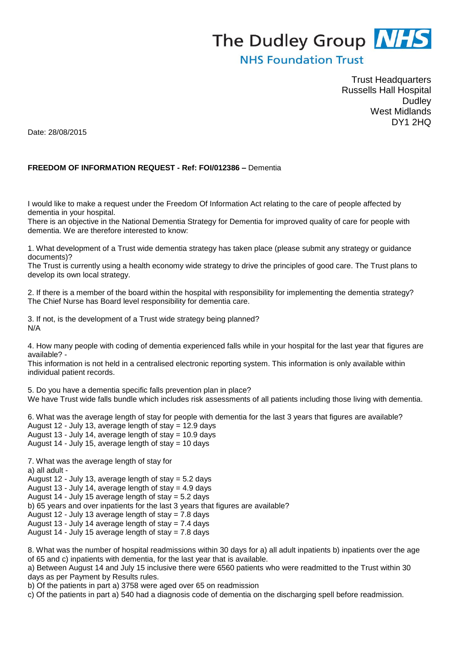## The Dudley Group **NHS**

## **NHS Foundation Trust**

Trust Headquarters Russells Hall Hospital **Dudley** West Midlands DY1 2HQ

Date: 28/08/2015

## **FREEDOM OF INFORMATION REQUEST - Ref: FOI/012386 –** Dementia

I would like to make a request under the Freedom Of Information Act relating to the care of people affected by dementia in your hospital.

There is an objective in the National Dementia Strategy for Dementia for improved quality of care for people with dementia. We are therefore interested to know:

1. What development of a Trust wide dementia strategy has taken place (please submit any strategy or guidance documents)?

The Trust is currently using a health economy wide strategy to drive the principles of good care. The Trust plans to develop its own local strategy.

2. If there is a member of the board within the hospital with responsibility for implementing the dementia strategy? The Chief Nurse has Board level responsibility for dementia care.

3. If not, is the development of a Trust wide strategy being planned? N/A

4. How many people with coding of dementia experienced falls while in your hospital for the last year that figures are available? -

This information is not held in a centralised electronic reporting system. This information is only available within individual patient records.

5. Do you have a dementia specific falls prevention plan in place? We have Trust wide falls bundle which includes risk assessments of all patients including those living with dementia.

6. What was the average length of stay for people with dementia for the last 3 years that figures are available? August 12 - July 13, average length of stay = 12.9 days August 13 - July 14, average length of stay = 10.9 days August 14 - July 15, average length of stay  $= 10$  days

7. What was the average length of stay for a) all adult - August 12 - July 13, average length of stay = 5.2 days August 13 - July 14, average length of stay  $= 4.9$  days August 14 - July 15 average length of stay = 5.2 days b) 65 years and over inpatients for the last 3 years that figures are available? August 12 - July 13 average length of stay = 7.8 days August 13 - July 14 average length of stay =  $7.4$  days August 14 - July 15 average length of stay = 7.8 days

8. What was the number of hospital readmissions within 30 days for a) all adult inpatients b) inpatients over the age of 65 and c) inpatients with dementia, for the last year that is available.

a) Between August 14 and July 15 inclusive there were 6560 patients who were readmitted to the Trust within 30 days as per Payment by Results rules.

b) Of the patients in part a) 3758 were aged over 65 on readmission

c) Of the patients in part a) 540 had a diagnosis code of dementia on the discharging spell before readmission.